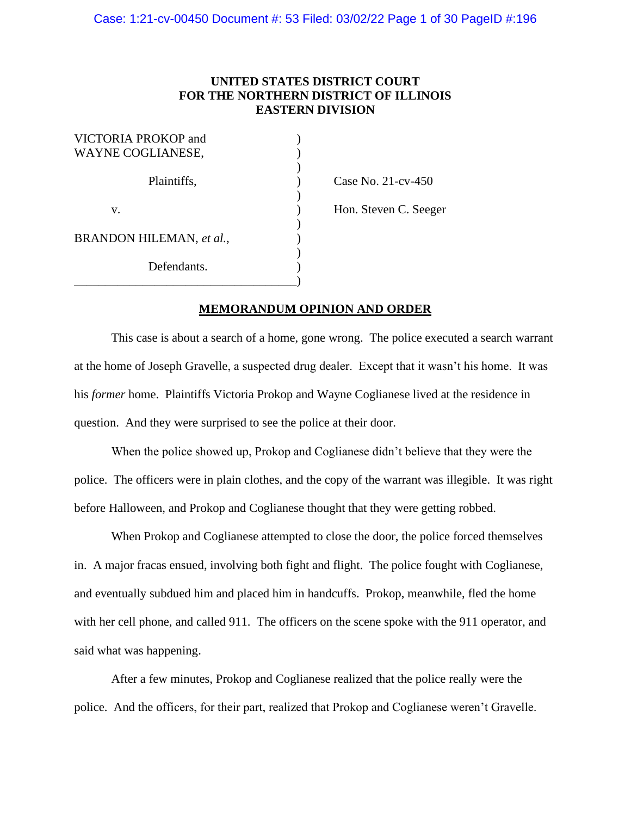# **UNITED STATES DISTRICT COURT FOR THE NORTHERN DISTRICT OF ILLINOIS EASTERN DIVISION**

| VICTORIA PROKOP and<br>WAYNE COGLIANESE, |  |
|------------------------------------------|--|
| Plaintiffs,                              |  |
| V.                                       |  |
| BRANDON HILEMAN, et al.,                 |  |
| Defendants.                              |  |

 $\text{Case No. 21-cv-450}$ 

) Hon. Steven C. Seeger

# **MEMORANDUM OPINION AND ORDER**

This case is about a search of a home, gone wrong. The police executed a search warrant at the home of Joseph Gravelle, a suspected drug dealer. Except that it wasn't his home. It was his *former* home. Plaintiffs Victoria Prokop and Wayne Coglianese lived at the residence in question. And they were surprised to see the police at their door.

When the police showed up, Prokop and Coglianese didn't believe that they were the police. The officers were in plain clothes, and the copy of the warrant was illegible. It was right before Halloween, and Prokop and Coglianese thought that they were getting robbed.

When Prokop and Coglianese attempted to close the door, the police forced themselves in. A major fracas ensued, involving both fight and flight. The police fought with Coglianese, and eventually subdued him and placed him in handcuffs. Prokop, meanwhile, fled the home with her cell phone, and called 911. The officers on the scene spoke with the 911 operator, and said what was happening.

After a few minutes, Prokop and Coglianese realized that the police really were the police. And the officers, for their part, realized that Prokop and Coglianese weren't Gravelle.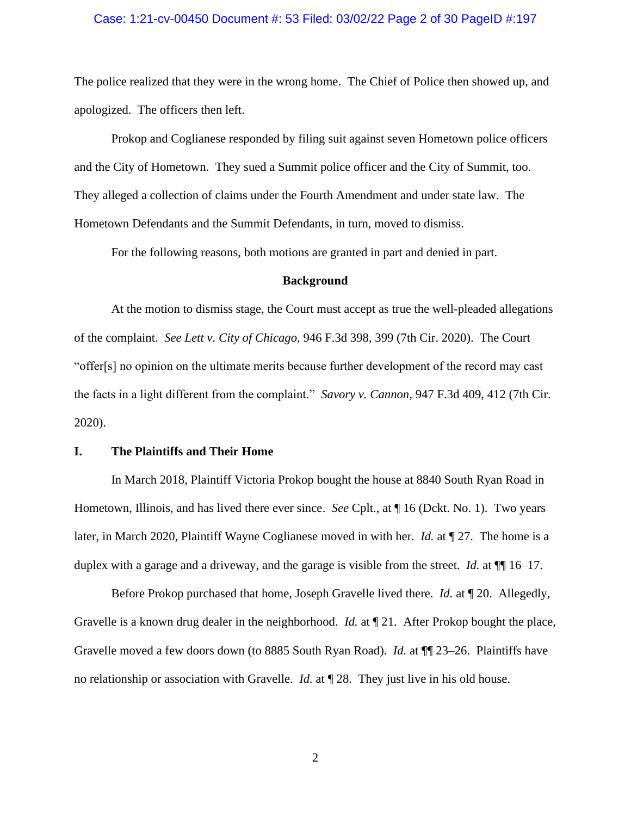### Case: 1:21-cv-00450 Document #: 53 Filed: 03/02/22 Page 2 of 30 PageID #:197

The police realized that they were in the wrong home. The Chief of Police then showed up, and apologized. The officers then left.

Prokop and Coglianese responded by filing suit against seven Hometown police officers and the City of Hometown. They sued a Summit police officer and the City of Summit, too. They alleged a collection of claims under the Fourth Amendment and under state law. The Hometown Defendants and the Summit Defendants, in turn, moved to dismiss.

For the following reasons, both motions are granted in part and denied in part.

#### **Background**

At the motion to dismiss stage, the Court must accept as true the well-pleaded allegations of the complaint. *See Lett v. City of Chicago*, 946 F.3d 398, 399 (7th Cir. 2020). The Court "offer[s] no opinion on the ultimate merits because further development of the record may cast the facts in a light different from the complaint." *Savory v. Cannon*, 947 F.3d 409, 412 (7th Cir. 2020).

### **I. The Plaintiffs and Their Home**

In March 2018, Plaintiff Victoria Prokop bought the house at 8840 South Ryan Road in Hometown, Illinois, and has lived there ever since. *See* Cplt., at ¶ 16 (Dckt. No. 1). Two years later, in March 2020, Plaintiff Wayne Coglianese moved in with her. *Id.* at ¶ 27. The home is a duplex with a garage and a driveway, and the garage is visible from the street. *Id.* at ¶¶ 16–17.

Before Prokop purchased that home, Joseph Gravelle lived there. *Id.* at ¶ 20. Allegedly, Gravelle is a known drug dealer in the neighborhood. *Id.* at ¶ 21. After Prokop bought the place, Gravelle moved a few doors down (to 8885 South Ryan Road). *Id.* at ¶¶ 23–26. Plaintiffs have no relationship or association with Gravelle. *Id.* at ¶ 28. They just live in his old house.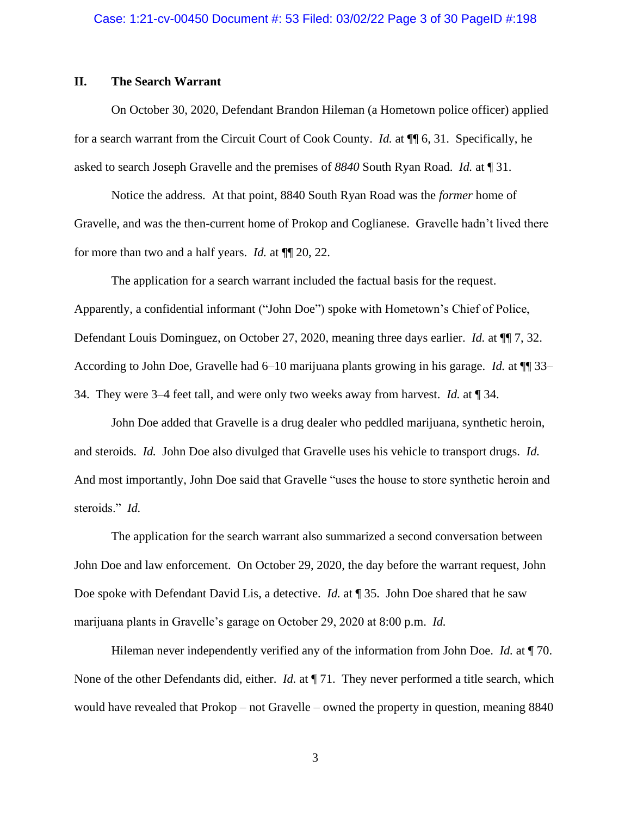# **II. The Search Warrant**

On October 30, 2020, Defendant Brandon Hileman (a Hometown police officer) applied for a search warrant from the Circuit Court of Cook County. *Id.* at ¶¶ 6, 31. Specifically, he asked to search Joseph Gravelle and the premises of *8840* South Ryan Road. *Id.* at ¶ 31.

Notice the address. At that point, 8840 South Ryan Road was the *former* home of Gravelle, and was the then-current home of Prokop and Coglianese. Gravelle hadn't lived there for more than two and a half years. *Id.* at ¶¶ 20, 22.

The application for a search warrant included the factual basis for the request. Apparently, a confidential informant ("John Doe") spoke with Hometown's Chief of Police, Defendant Louis Dominguez, on October 27, 2020, meaning three days earlier. *Id.* at ¶¶ 7, 32. According to John Doe, Gravelle had 6–10 marijuana plants growing in his garage. *Id.* at ¶¶ 33– 34. They were 3–4 feet tall, and were only two weeks away from harvest. *Id.* at ¶ 34.

John Doe added that Gravelle is a drug dealer who peddled marijuana, synthetic heroin, and steroids. *Id.* John Doe also divulged that Gravelle uses his vehicle to transport drugs. *Id.*  And most importantly, John Doe said that Gravelle "uses the house to store synthetic heroin and steroids." *Id.*

The application for the search warrant also summarized a second conversation between John Doe and law enforcement. On October 29, 2020, the day before the warrant request, John Doe spoke with Defendant David Lis, a detective. *Id.* at ¶ 35. John Doe shared that he saw marijuana plants in Gravelle's garage on October 29, 2020 at 8:00 p.m. *Id.* 

Hileman never independently verified any of the information from John Doe. *Id.* at ¶ 70. None of the other Defendants did, either. *Id.* at  $\P$  71. They never performed a title search, which would have revealed that Prokop – not Gravelle – owned the property in question, meaning 8840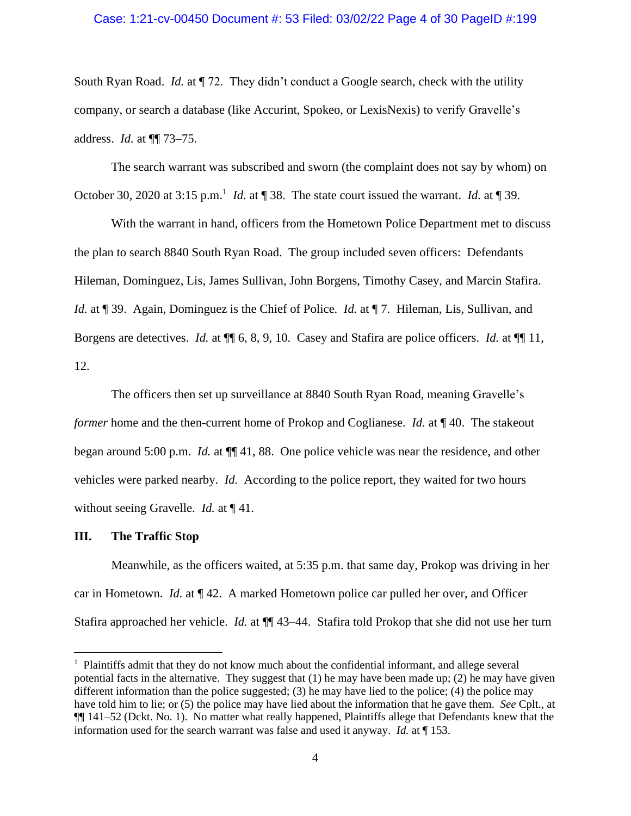### Case: 1:21-cv-00450 Document #: 53 Filed: 03/02/22 Page 4 of 30 PageID #:199

South Ryan Road. *Id.* at  $\P$  72. They didn't conduct a Google search, check with the utility company, or search a database (like Accurint, Spokeo, or LexisNexis) to verify Gravelle's address. *Id.* at ¶¶ 73–75.

The search warrant was subscribed and sworn (the complaint does not say by whom) on October 30, 2020 at 3:15 p.m.<sup>1</sup> *Id.* at  $\P$  38. The state court issued the warrant. *Id.* at  $\P$  39.

With the warrant in hand, officers from the Hometown Police Department met to discuss the plan to search 8840 South Ryan Road. The group included seven officers: Defendants Hileman, Dominguez, Lis, James Sullivan, John Borgens, Timothy Casey, and Marcin Stafira. *Id.* at ¶ 39. Again, Dominguez is the Chief of Police. *Id.* at ¶ 7. Hileman, Lis, Sullivan, and Borgens are detectives. *Id.* at ¶¶ 6, 8, 9, 10. Casey and Stafira are police officers. *Id.* at ¶¶ 11, 12.

The officers then set up surveillance at 8840 South Ryan Road, meaning Gravelle's *former* home and the then-current home of Prokop and Coglianese. *Id.* at **[40.** The stakeout began around 5:00 p.m. *Id.* at ¶¶ 41, 88. One police vehicle was near the residence, and other vehicles were parked nearby. *Id.* According to the police report, they waited for two hours without seeing Gravelle. *Id.* at ¶ 41.

#### **III. The Traffic Stop**

Meanwhile, as the officers waited, at 5:35 p.m. that same day, Prokop was driving in her car in Hometown. *Id.* at ¶ 42. A marked Hometown police car pulled her over, and Officer Stafira approached her vehicle. *Id.* at ¶¶ 43–44. Stafira told Prokop that she did not use her turn

<sup>&</sup>lt;sup>1</sup> Plaintiffs admit that they do not know much about the confidential informant, and allege several potential facts in the alternative. They suggest that  $(1)$  he may have been made up;  $(2)$  he may have given different information than the police suggested; (3) he may have lied to the police; (4) the police may have told him to lie; or (5) the police may have lied about the information that he gave them. *See* Cplt., at ¶¶ 141–52 (Dckt. No. 1). No matter what really happened, Plaintiffs allege that Defendants knew that the information used for the search warrant was false and used it anyway. *Id.* at ¶ 153.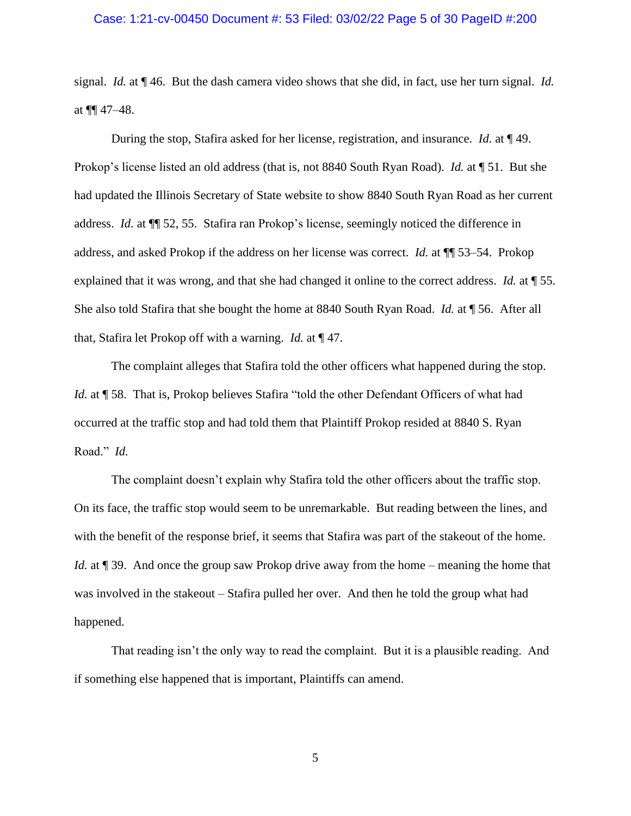### Case: 1:21-cv-00450 Document #: 53 Filed: 03/02/22 Page 5 of 30 PageID #:200

signal. *Id.* at ¶ 46. But the dash camera video shows that she did, in fact, use her turn signal. *Id.* at  $\P\P$  47–48.

During the stop, Stafira asked for her license, registration, and insurance. *Id.* at ¶ 49. Prokop's license listed an old address (that is, not 8840 South Ryan Road). *Id.* at ¶ 51. But she had updated the Illinois Secretary of State website to show 8840 South Ryan Road as her current address. *Id.* at ¶¶ 52, 55. Stafira ran Prokop's license, seemingly noticed the difference in address, and asked Prokop if the address on her license was correct. *Id.* at ¶¶ 53–54. Prokop explained that it was wrong, and that she had changed it online to the correct address. *Id.* at ¶ 55. She also told Stafira that she bought the home at 8840 South Ryan Road. *Id.* at ¶ 56. After all that, Stafira let Prokop off with a warning. *Id.* at ¶ 47.

The complaint alleges that Stafira told the other officers what happened during the stop. *Id.* at ¶ 58. That is, Prokop believes Stafira "told the other Defendant Officers of what had occurred at the traffic stop and had told them that Plaintiff Prokop resided at 8840 S. Ryan Road." *Id.*

The complaint doesn't explain why Stafira told the other officers about the traffic stop. On its face, the traffic stop would seem to be unremarkable. But reading between the lines, and with the benefit of the response brief, it seems that Stafira was part of the stakeout of the home. *Id.* at ¶ 39. And once the group saw Prokop drive away from the home – meaning the home that was involved in the stakeout – Stafira pulled her over. And then he told the group what had happened.

That reading isn't the only way to read the complaint. But it is a plausible reading. And if something else happened that is important, Plaintiffs can amend.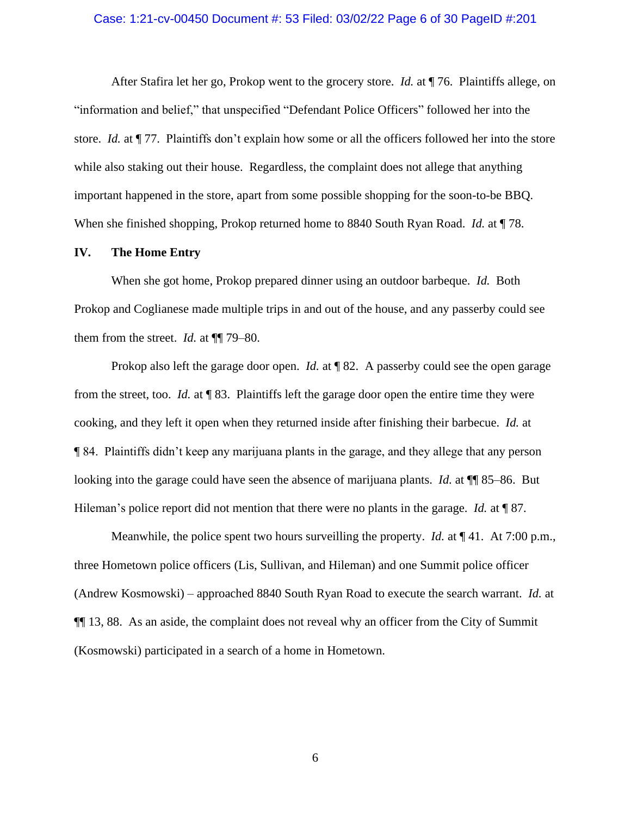#### Case: 1:21-cv-00450 Document #: 53 Filed: 03/02/22 Page 6 of 30 PageID #:201

After Stafira let her go, Prokop went to the grocery store. *Id.* at ¶ 76. Plaintiffs allege, on "information and belief," that unspecified "Defendant Police Officers" followed her into the store. *Id.* at ¶ 77. Plaintiffs don't explain how some or all the officers followed her into the store while also staking out their house. Regardless, the complaint does not allege that anything important happened in the store, apart from some possible shopping for the soon-to-be BBQ. When she finished shopping, Prokop returned home to 8840 South Ryan Road. *Id.* at ¶ 78.

#### **IV. The Home Entry**

When she got home, Prokop prepared dinner using an outdoor barbeque. *Id.* Both Prokop and Coglianese made multiple trips in and out of the house, and any passerby could see them from the street. *Id.* at ¶¶ 79–80.

Prokop also left the garage door open. *Id.* at ¶ 82. A passerby could see the open garage from the street, too. *Id.* at ¶ 83. Plaintiffs left the garage door open the entire time they were cooking, and they left it open when they returned inside after finishing their barbecue. *Id.* at ¶ 84. Plaintiffs didn't keep any marijuana plants in the garage, and they allege that any person looking into the garage could have seen the absence of marijuana plants. *Id.* at ¶¶ 85–86. But Hileman's police report did not mention that there were no plants in the garage. *Id.* at ¶ 87.

Meanwhile, the police spent two hours surveilling the property. *Id.* at ¶ 41. At 7:00 p.m., three Hometown police officers (Lis, Sullivan, and Hileman) and one Summit police officer (Andrew Kosmowski) – approached 8840 South Ryan Road to execute the search warrant. *Id.* at ¶¶ 13, 88. As an aside, the complaint does not reveal why an officer from the City of Summit (Kosmowski) participated in a search of a home in Hometown.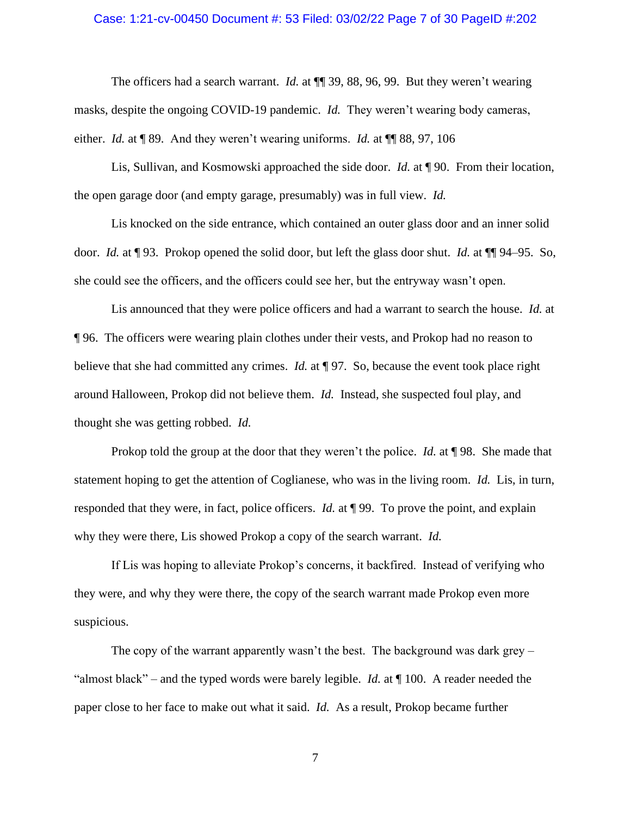### Case: 1:21-cv-00450 Document #: 53 Filed: 03/02/22 Page 7 of 30 PageID #:202

The officers had a search warrant. *Id.* at  $\P$  39, 88, 96, 99. But they weren't wearing masks, despite the ongoing COVID-19 pandemic. *Id.* They weren't wearing body cameras, either. *Id.* at ¶ 89. And they weren't wearing uniforms. *Id.* at ¶¶ 88, 97, 106

Lis, Sullivan, and Kosmowski approached the side door. *Id.* at ¶ 90. From their location, the open garage door (and empty garage, presumably) was in full view. *Id.*

Lis knocked on the side entrance, which contained an outer glass door and an inner solid door. *Id.* at ¶ 93. Prokop opened the solid door, but left the glass door shut. *Id.* at ¶¶ 94–95. So, she could see the officers, and the officers could see her, but the entryway wasn't open.

Lis announced that they were police officers and had a warrant to search the house. *Id.* at ¶ 96. The officers were wearing plain clothes under their vests, and Prokop had no reason to believe that she had committed any crimes. *Id.* at ¶ 97. So, because the event took place right around Halloween, Prokop did not believe them. *Id.* Instead, she suspected foul play, and thought she was getting robbed. *Id.*

Prokop told the group at the door that they weren't the police. *Id.* at ¶ 98. She made that statement hoping to get the attention of Coglianese, who was in the living room. *Id.* Lis, in turn, responded that they were, in fact, police officers. *Id.* at ¶ 99. To prove the point, and explain why they were there, Lis showed Prokop a copy of the search warrant. *Id.* 

If Lis was hoping to alleviate Prokop's concerns, it backfired. Instead of verifying who they were, and why they were there, the copy of the search warrant made Prokop even more suspicious.

The copy of the warrant apparently wasn't the best. The background was dark grey  $-$ "almost black" – and the typed words were barely legible. *Id.* at ¶ 100. A reader needed the paper close to her face to make out what it said. *Id.* As a result, Prokop became further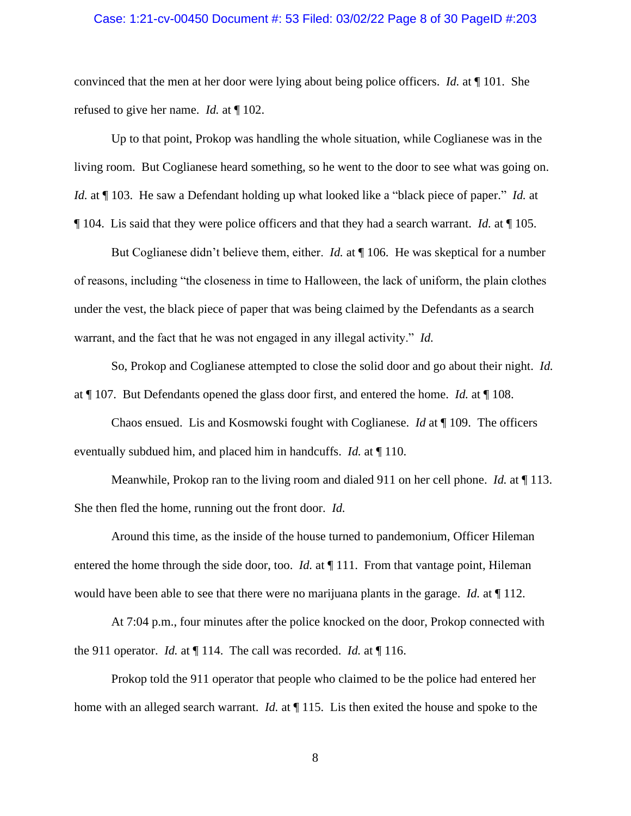### Case: 1:21-cv-00450 Document #: 53 Filed: 03/02/22 Page 8 of 30 PageID #:203

convinced that the men at her door were lying about being police officers. *Id.* at ¶ 101. She refused to give her name. *Id.* at ¶ 102.

Up to that point, Prokop was handling the whole situation, while Coglianese was in the living room. But Coglianese heard something, so he went to the door to see what was going on. *Id.* at ¶ 103. He saw a Defendant holding up what looked like a "black piece of paper." *Id.* at ¶ 104. Lis said that they were police officers and that they had a search warrant. *Id.* at ¶ 105.

But Coglianese didn't believe them, either. *Id.* at ¶ 106. He was skeptical for a number of reasons, including "the closeness in time to Halloween, the lack of uniform, the plain clothes under the vest, the black piece of paper that was being claimed by the Defendants as a search warrant, and the fact that he was not engaged in any illegal activity." *Id.* 

So, Prokop and Coglianese attempted to close the solid door and go about their night. *Id.* at ¶ 107. But Defendants opened the glass door first, and entered the home. *Id.* at ¶ 108.

Chaos ensued. Lis and Kosmowski fought with Coglianese. *Id* at ¶ 109. The officers eventually subdued him, and placed him in handcuffs. *Id.* at ¶ 110.

Meanwhile, Prokop ran to the living room and dialed 911 on her cell phone. *Id.* at ¶ 113. She then fled the home, running out the front door. *Id.*

Around this time, as the inside of the house turned to pandemonium, Officer Hileman entered the home through the side door, too. *Id.* at  $\P$  111. From that vantage point, Hileman would have been able to see that there were no marijuana plants in the garage. *Id.* at ¶ 112.

At 7:04 p.m., four minutes after the police knocked on the door, Prokop connected with the 911 operator. *Id.* at ¶ 114. The call was recorded. *Id.* at ¶ 116.

Prokop told the 911 operator that people who claimed to be the police had entered her home with an alleged search warrant. *Id.* at ¶ 115. Lis then exited the house and spoke to the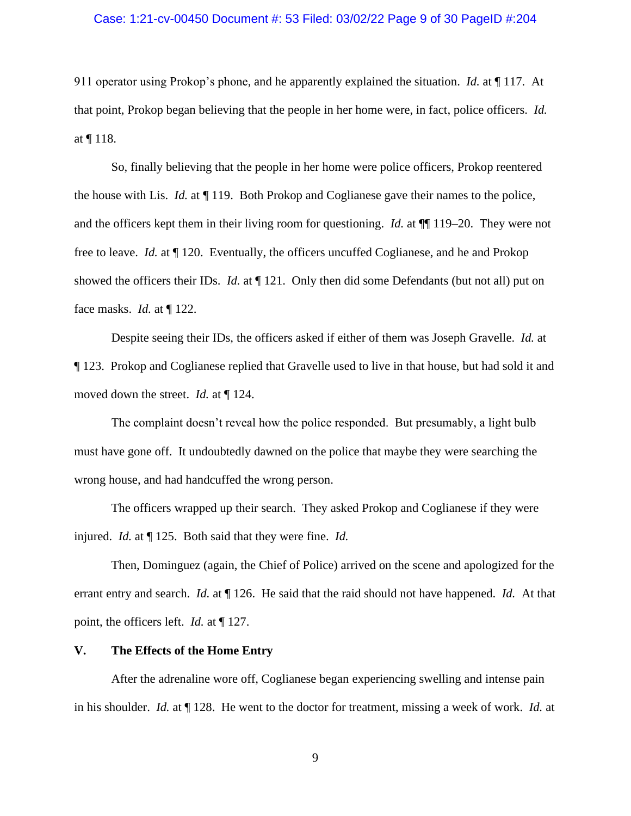### Case: 1:21-cv-00450 Document #: 53 Filed: 03/02/22 Page 9 of 30 PageID #:204

911 operator using Prokop's phone, and he apparently explained the situation. *Id.* at ¶ 117. At that point, Prokop began believing that the people in her home were, in fact, police officers. *Id.* at  $\P$  118.

So, finally believing that the people in her home were police officers, Prokop reentered the house with Lis. *Id.* at ¶ 119. Both Prokop and Coglianese gave their names to the police, and the officers kept them in their living room for questioning. *Id.* at ¶¶ 119–20. They were not free to leave. *Id.* at ¶ 120. Eventually, the officers uncuffed Coglianese, and he and Prokop showed the officers their IDs. *Id.* at  $\P$  121. Only then did some Defendants (but not all) put on face masks. *Id.* at ¶ 122.

Despite seeing their IDs, the officers asked if either of them was Joseph Gravelle. *Id.* at ¶ 123. Prokop and Coglianese replied that Gravelle used to live in that house, but had sold it and moved down the street. *Id.* at ¶ 124.

The complaint doesn't reveal how the police responded. But presumably, a light bulb must have gone off. It undoubtedly dawned on the police that maybe they were searching the wrong house, and had handcuffed the wrong person.

The officers wrapped up their search. They asked Prokop and Coglianese if they were injured. *Id.* at ¶ 125. Both said that they were fine. *Id.*

Then, Dominguez (again, the Chief of Police) arrived on the scene and apologized for the errant entry and search. *Id.* at ¶ 126. He said that the raid should not have happened. *Id.* At that point, the officers left. *Id.* at ¶ 127.

#### **V. The Effects of the Home Entry**

After the adrenaline wore off, Coglianese began experiencing swelling and intense pain in his shoulder. *Id.* at ¶ 128. He went to the doctor for treatment, missing a week of work. *Id.* at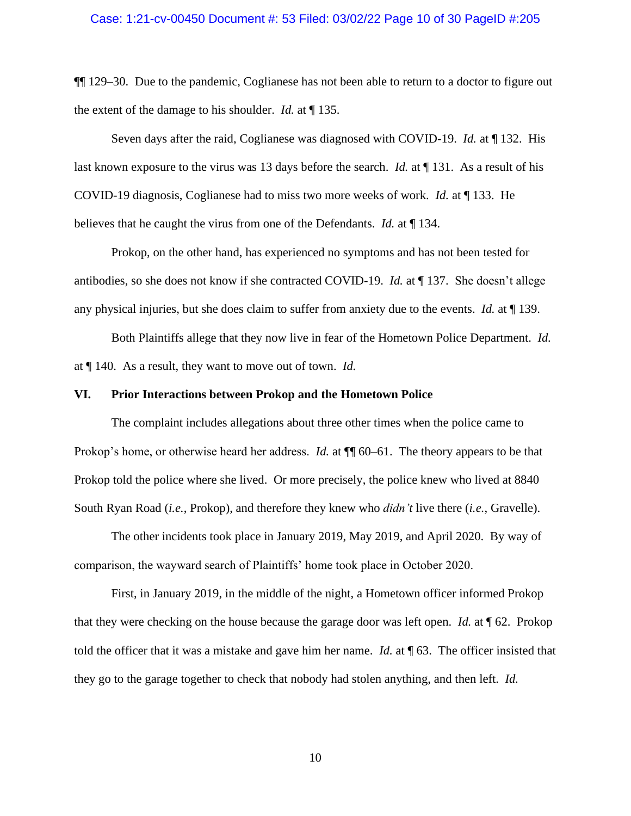¶¶ 129–30. Due to the pandemic, Coglianese has not been able to return to a doctor to figure out the extent of the damage to his shoulder. *Id.* at ¶ 135.

Seven days after the raid, Coglianese was diagnosed with COVID-19. *Id.* at ¶ 132. His last known exposure to the virus was 13 days before the search. *Id.* at ¶ 131. As a result of his COVID-19 diagnosis, Coglianese had to miss two more weeks of work. *Id.* at ¶ 133. He believes that he caught the virus from one of the Defendants. *Id.* at ¶ 134.

Prokop, on the other hand, has experienced no symptoms and has not been tested for antibodies, so she does not know if she contracted COVID-19. *Id.* at ¶ 137. She doesn't allege any physical injuries, but she does claim to suffer from anxiety due to the events. *Id.* at ¶ 139.

Both Plaintiffs allege that they now live in fear of the Hometown Police Department. *Id.* at ¶ 140. As a result, they want to move out of town. *Id.*

### **VI. Prior Interactions between Prokop and the Hometown Police**

The complaint includes allegations about three other times when the police came to Prokop's home, or otherwise heard her address. *Id.* at  $\P$  60–61. The theory appears to be that Prokop told the police where she lived. Or more precisely, the police knew who lived at 8840 South Ryan Road (*i.e.*, Prokop), and therefore they knew who *didn't* live there (*i.e.*, Gravelle).

The other incidents took place in January 2019, May 2019, and April 2020. By way of comparison, the wayward search of Plaintiffs' home took place in October 2020.

First, in January 2019, in the middle of the night, a Hometown officer informed Prokop that they were checking on the house because the garage door was left open. *Id.* at ¶ 62. Prokop told the officer that it was a mistake and gave him her name. *Id.* at ¶ 63. The officer insisted that they go to the garage together to check that nobody had stolen anything, and then left. *Id.*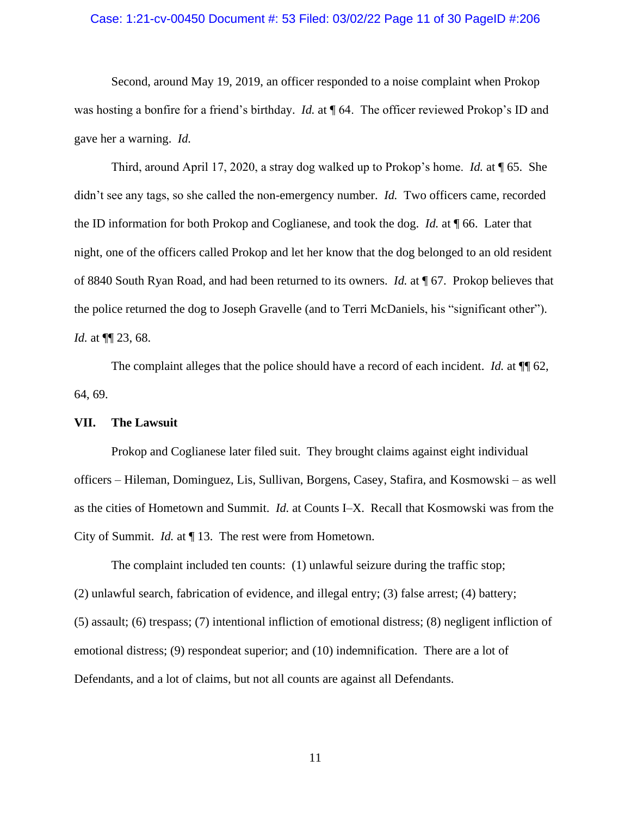# Case: 1:21-cv-00450 Document #: 53 Filed: 03/02/22 Page 11 of 30 PageID #:206

Second, around May 19, 2019, an officer responded to a noise complaint when Prokop was hosting a bonfire for a friend's birthday. *Id.* at  $\P$  64. The officer reviewed Prokop's ID and gave her a warning. *Id.*

Third, around April 17, 2020, a stray dog walked up to Prokop's home. *Id.* at ¶ 65. She didn't see any tags, so she called the non-emergency number. *Id.* Two officers came, recorded the ID information for both Prokop and Coglianese, and took the dog. *Id.* at ¶ 66. Later that night, one of the officers called Prokop and let her know that the dog belonged to an old resident of 8840 South Ryan Road, and had been returned to its owners. *Id.* at ¶ 67. Prokop believes that the police returned the dog to Joseph Gravelle (and to Terri McDaniels, his "significant other"). *Id.* at ¶¶ 23, 68.

The complaint alleges that the police should have a record of each incident. *Id.* at  $\P$  62, 64, 69.

## **VII. The Lawsuit**

Prokop and Coglianese later filed suit. They brought claims against eight individual officers – Hileman, Dominguez, Lis, Sullivan, Borgens, Casey, Stafira, and Kosmowski – as well as the cities of Hometown and Summit. *Id.* at Counts I–X. Recall that Kosmowski was from the City of Summit. *Id.* at ¶ 13. The rest were from Hometown.

The complaint included ten counts: (1) unlawful seizure during the traffic stop; (2) unlawful search, fabrication of evidence, and illegal entry; (3) false arrest; (4) battery; (5) assault; (6) trespass; (7) intentional infliction of emotional distress; (8) negligent infliction of emotional distress; (9) respondeat superior; and (10) indemnification. There are a lot of Defendants, and a lot of claims, but not all counts are against all Defendants.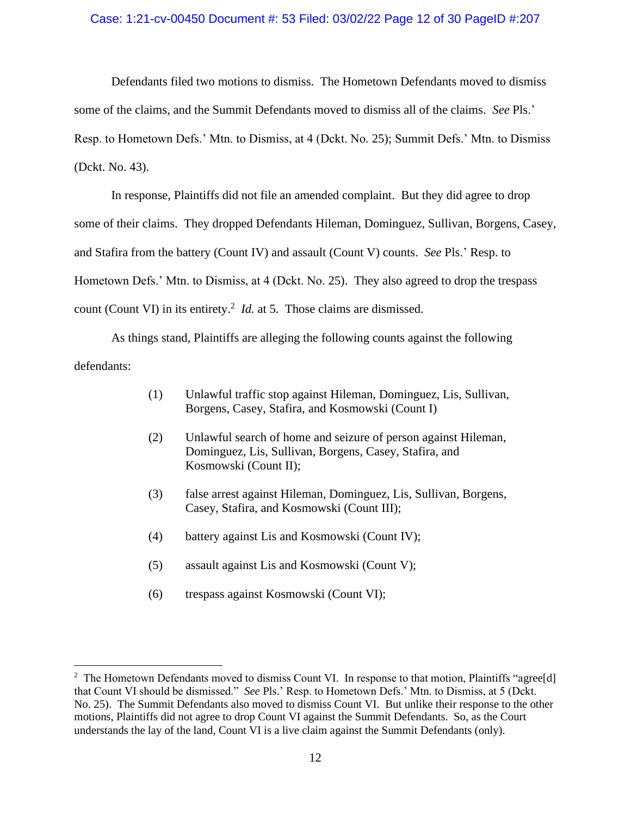## Case: 1:21-cv-00450 Document #: 53 Filed: 03/02/22 Page 12 of 30 PageID #:207

Defendants filed two motions to dismiss. The Hometown Defendants moved to dismiss some of the claims, and the Summit Defendants moved to dismiss all of the claims. *See* Pls.' Resp. to Hometown Defs.' Mtn. to Dismiss, at 4 (Dckt. No. 25); Summit Defs.' Mtn. to Dismiss (Dckt. No. 43).

In response, Plaintiffs did not file an amended complaint. But they did agree to drop some of their claims. They dropped Defendants Hileman, Dominguez, Sullivan, Borgens, Casey, and Stafira from the battery (Count IV) and assault (Count V) counts. *See* Pls.' Resp. to Hometown Defs.' Mtn. to Dismiss, at 4 (Dckt. No. 25). They also agreed to drop the trespass count (Count VI) in its entirety.<sup>2</sup> *Id.* at 5. Those claims are dismissed.

As things stand, Plaintiffs are alleging the following counts against the following defendants:

- (1) Unlawful traffic stop against Hileman, Dominguez, Lis, Sullivan, Borgens, Casey, Stafira, and Kosmowski (Count I)
- (2) Unlawful search of home and seizure of person against Hileman, Dominguez, Lis, Sullivan, Borgens, Casey, Stafira, and Kosmowski (Count II);
- (3) false arrest against Hileman, Dominguez, Lis, Sullivan, Borgens, Casey, Stafira, and Kosmowski (Count III);
- (4) battery against Lis and Kosmowski (Count IV);
- (5) assault against Lis and Kosmowski (Count V);
- (6) trespass against Kosmowski (Count VI);

<sup>&</sup>lt;sup>2</sup> The Hometown Defendants moved to dismiss Count VI. In response to that motion, Plaintiffs "agree[d] that Count VI should be dismissed." *See* Pls.' Resp. to Hometown Defs.' Mtn. to Dismiss, at 5 (Dckt. No. 25). The Summit Defendants also moved to dismiss Count VI. But unlike their response to the other motions, Plaintiffs did not agree to drop Count VI against the Summit Defendants. So, as the Court understands the lay of the land, Count VI is a live claim against the Summit Defendants (only).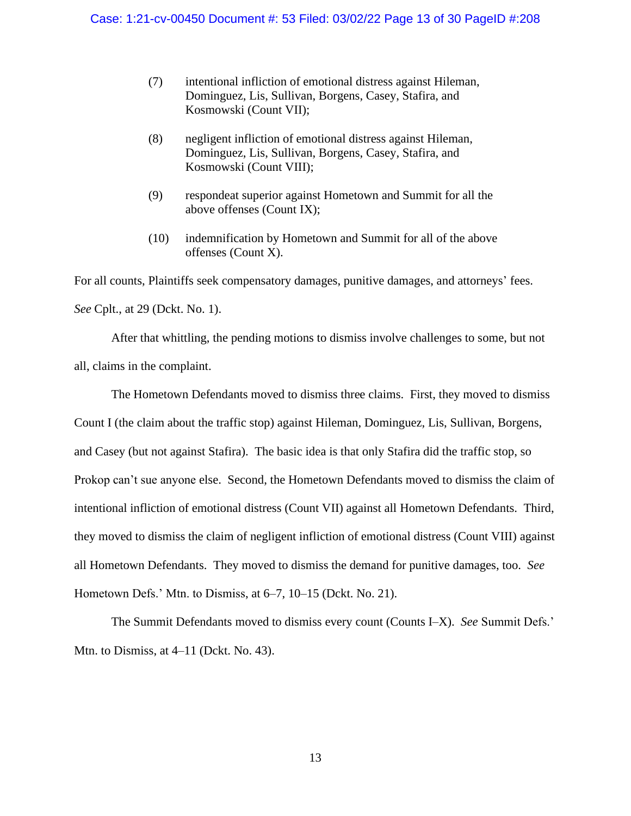- (7) intentional infliction of emotional distress against Hileman, Dominguez, Lis, Sullivan, Borgens, Casey, Stafira, and Kosmowski (Count VII);
- (8) negligent infliction of emotional distress against Hileman, Dominguez, Lis, Sullivan, Borgens, Casey, Stafira, and Kosmowski (Count VIII);
- (9) respondeat superior against Hometown and Summit for all the above offenses (Count IX);
- (10) indemnification by Hometown and Summit for all of the above offenses (Count X).

For all counts, Plaintiffs seek compensatory damages, punitive damages, and attorneys' fees. *See* Cplt., at 29 (Dckt. No. 1).

After that whittling, the pending motions to dismiss involve challenges to some, but not all, claims in the complaint.

The Hometown Defendants moved to dismiss three claims. First, they moved to dismiss Count I (the claim about the traffic stop) against Hileman, Dominguez, Lis, Sullivan, Borgens, and Casey (but not against Stafira). The basic idea is that only Stafira did the traffic stop, so Prokop can't sue anyone else. Second, the Hometown Defendants moved to dismiss the claim of intentional infliction of emotional distress (Count VII) against all Hometown Defendants. Third, they moved to dismiss the claim of negligent infliction of emotional distress (Count VIII) against all Hometown Defendants. They moved to dismiss the demand for punitive damages, too. *See* Hometown Defs.' Mtn. to Dismiss, at 6–7, 10–15 (Dckt. No. 21).

The Summit Defendants moved to dismiss every count (Counts I–X). *See* Summit Defs.' Mtn. to Dismiss, at 4–11 (Dckt. No. 43).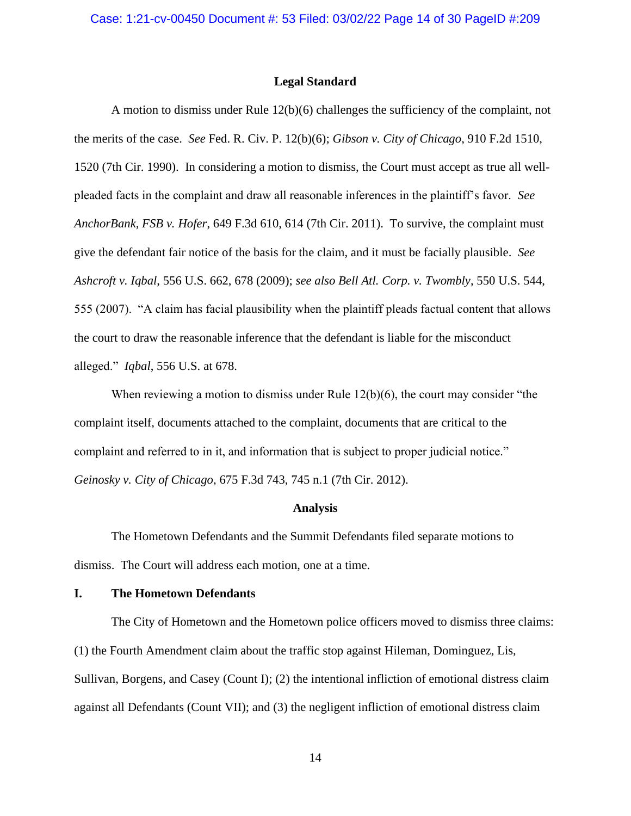#### **Legal Standard**

A motion to dismiss under Rule 12(b)(6) challenges the sufficiency of the complaint, not the merits of the case. *See* Fed. R. Civ. P. 12(b)(6); *Gibson v. City of Chicago*, 910 F.2d 1510, 1520 (7th Cir. 1990). In considering a motion to dismiss, the Court must accept as true all wellpleaded facts in the complaint and draw all reasonable inferences in the plaintiff's favor. *See AnchorBank, FSB v. Hofer*, 649 F.3d 610, 614 (7th Cir. 2011). To survive, the complaint must give the defendant fair notice of the basis for the claim, and it must be facially plausible. *See Ashcroft v. Iqbal*, 556 U.S. 662, 678 (2009); *see also Bell Atl. Corp. v. Twombly*, 550 U.S. 544, 555 (2007). "A claim has facial plausibility when the plaintiff pleads factual content that allows the court to draw the reasonable inference that the defendant is liable for the misconduct alleged." *Iqbal*, 556 U.S. at 678.

When reviewing a motion to dismiss under Rule  $12(b)(6)$ , the court may consider "the complaint itself, documents attached to the complaint, documents that are critical to the complaint and referred to in it, and information that is subject to proper judicial notice." *Geinosky v. City of Chicago*, 675 F.3d 743, 745 n.1 (7th Cir. 2012).

#### **Analysis**

The Hometown Defendants and the Summit Defendants filed separate motions to dismiss. The Court will address each motion, one at a time.

#### **I. The Hometown Defendants**

The City of Hometown and the Hometown police officers moved to dismiss three claims: (1) the Fourth Amendment claim about the traffic stop against Hileman, Dominguez, Lis, Sullivan, Borgens, and Casey (Count I); (2) the intentional infliction of emotional distress claim against all Defendants (Count VII); and (3) the negligent infliction of emotional distress claim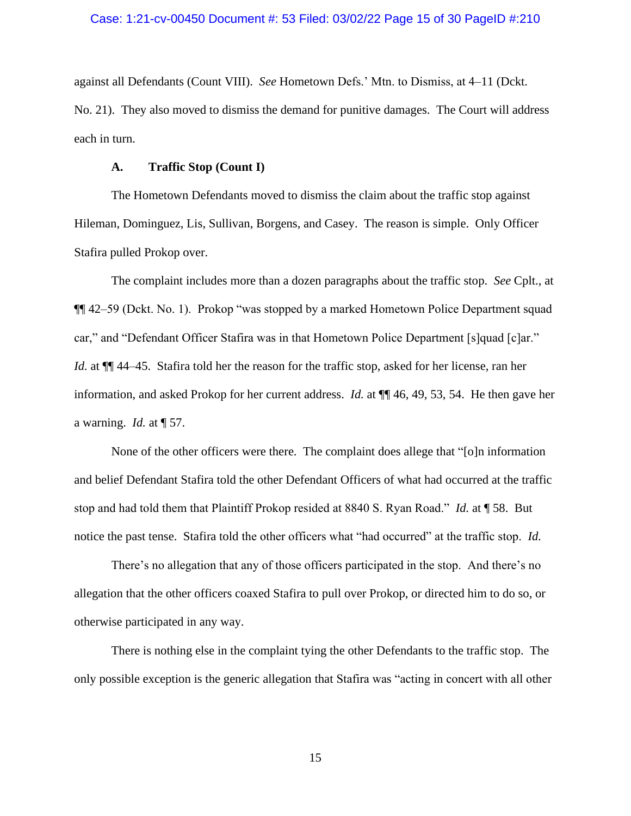against all Defendants (Count VIII). *See* Hometown Defs.' Mtn. to Dismiss, at 4–11 (Dckt. No. 21). They also moved to dismiss the demand for punitive damages. The Court will address each in turn.

## **A. Traffic Stop (Count I)**

The Hometown Defendants moved to dismiss the claim about the traffic stop against Hileman, Dominguez, Lis, Sullivan, Borgens, and Casey. The reason is simple. Only Officer Stafira pulled Prokop over.

The complaint includes more than a dozen paragraphs about the traffic stop. *See* Cplt., at ¶¶ 42–59 (Dckt. No. 1). Prokop "was stopped by a marked Hometown Police Department squad car," and "Defendant Officer Stafira was in that Hometown Police Department [s]quad [c]ar." *Id.* at  $\P$  44–45. Stafira told her the reason for the traffic stop, asked for her license, ran her information, and asked Prokop for her current address. *Id.* at ¶¶ 46, 49, 53, 54. He then gave her a warning. *Id.* at ¶ 57.

None of the other officers were there. The complaint does allege that "[o]n information and belief Defendant Stafira told the other Defendant Officers of what had occurred at the traffic stop and had told them that Plaintiff Prokop resided at 8840 S. Ryan Road." *Id.* at ¶ 58. But notice the past tense. Stafira told the other officers what "had occurred" at the traffic stop. *Id.*

There's no allegation that any of those officers participated in the stop. And there's no allegation that the other officers coaxed Stafira to pull over Prokop, or directed him to do so, or otherwise participated in any way.

There is nothing else in the complaint tying the other Defendants to the traffic stop. The only possible exception is the generic allegation that Stafira was "acting in concert with all other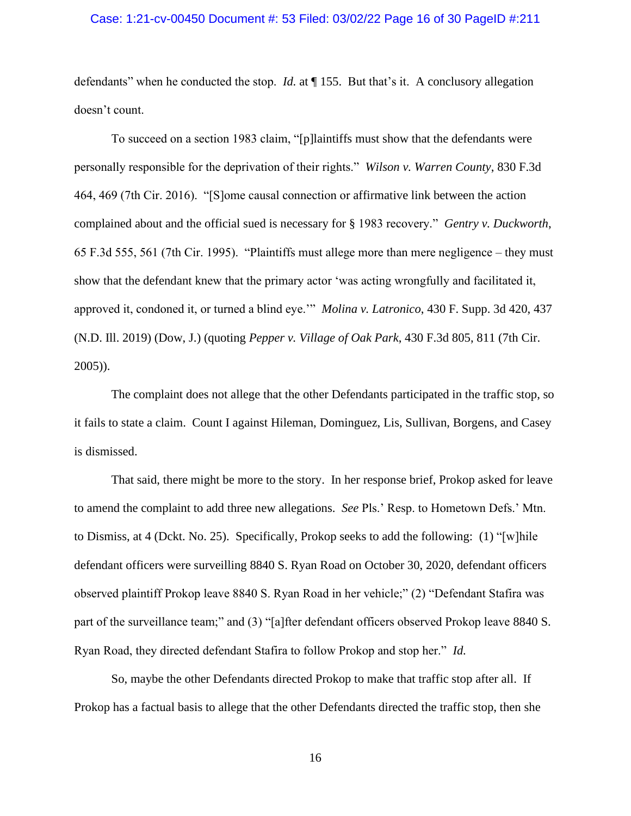### Case: 1:21-cv-00450 Document #: 53 Filed: 03/02/22 Page 16 of 30 PageID #:211

defendants" when he conducted the stop. *Id.* at ¶ 155. But that's it. A conclusory allegation doesn't count.

To succeed on a section 1983 claim, "[p]laintiffs must show that the defendants were personally responsible for the deprivation of their rights." *Wilson v. Warren County*, 830 F.3d 464, 469 (7th Cir. 2016). "[S]ome causal connection or affirmative link between the action complained about and the official sued is necessary for § 1983 recovery." *Gentry v. Duckworth*, 65 F.3d 555, 561 (7th Cir. 1995). "Plaintiffs must allege more than mere negligence – they must show that the defendant knew that the primary actor 'was acting wrongfully and facilitated it, approved it, condoned it, or turned a blind eye.'" *Molina v. Latronico*, 430 F. Supp. 3d 420, 437 (N.D. Ill. 2019) (Dow, J.) (quoting *Pepper v. Village of Oak Park*, 430 F.3d 805, 811 (7th Cir. 2005)).

The complaint does not allege that the other Defendants participated in the traffic stop, so it fails to state a claim. Count I against Hileman, Dominguez, Lis, Sullivan, Borgens, and Casey is dismissed.

That said, there might be more to the story. In her response brief, Prokop asked for leave to amend the complaint to add three new allegations. *See* Pls.' Resp. to Hometown Defs.' Mtn. to Dismiss, at 4 (Dckt. No. 25). Specifically, Prokop seeks to add the following: (1) "[w]hile defendant officers were surveilling 8840 S. Ryan Road on October 30, 2020, defendant officers observed plaintiff Prokop leave 8840 S. Ryan Road in her vehicle;" (2) "Defendant Stafira was part of the surveillance team;" and (3) "[a]fter defendant officers observed Prokop leave 8840 S. Ryan Road, they directed defendant Stafira to follow Prokop and stop her." *Id.*

So, maybe the other Defendants directed Prokop to make that traffic stop after all. If Prokop has a factual basis to allege that the other Defendants directed the traffic stop, then she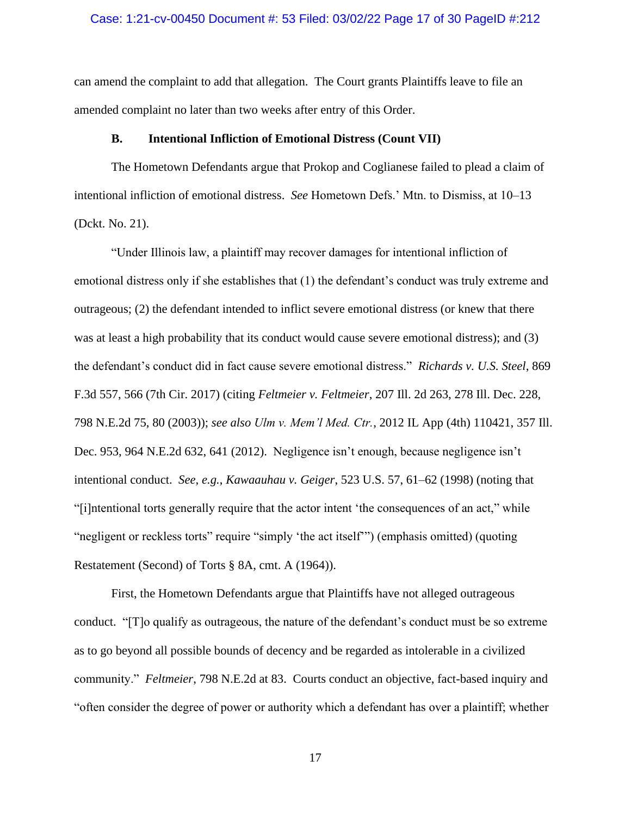### Case: 1:21-cv-00450 Document #: 53 Filed: 03/02/22 Page 17 of 30 PageID #:212

can amend the complaint to add that allegation. The Court grants Plaintiffs leave to file an amended complaint no later than two weeks after entry of this Order.

#### **B. Intentional Infliction of Emotional Distress (Count VII)**

The Hometown Defendants argue that Prokop and Coglianese failed to plead a claim of intentional infliction of emotional distress. *See* Hometown Defs.' Mtn. to Dismiss, at 10–13 (Dckt. No. 21).

"Under Illinois law, a plaintiff may recover damages for intentional infliction of emotional distress only if she establishes that (1) the defendant's conduct was truly extreme and outrageous; (2) the defendant intended to inflict severe emotional distress (or knew that there was at least a high probability that its conduct would cause severe emotional distress); and (3) the defendant's conduct did in fact cause severe emotional distress." *Richards v. U.S. Steel*, 869 F.3d 557, 566 (7th Cir. 2017) (citing *Feltmeier v. Feltmeier*, 207 Ill. 2d 263, 278 Ill. Dec. 228, 798 N.E.2d 75, 80 (2003)); *see also Ulm v. Mem'l Med. Ctr.*, 2012 IL App (4th) 110421, 357 Ill. Dec. 953, 964 N.E.2d 632, 641 (2012). Negligence isn't enough, because negligence isn't intentional conduct. *See, e.g.*, *Kawaauhau v. Geiger*, 523 U.S. 57, 61–62 (1998) (noting that "[i]ntentional torts generally require that the actor intent 'the consequences of an act," while "negligent or reckless torts" require "simply 'the act itself'") (emphasis omitted) (quoting Restatement (Second) of Torts § 8A, cmt. A (1964)).

First, the Hometown Defendants argue that Plaintiffs have not alleged outrageous conduct. "[T]o qualify as outrageous, the nature of the defendant's conduct must be so extreme as to go beyond all possible bounds of decency and be regarded as intolerable in a civilized community." *Feltmeier*, 798 N.E.2d at 83. Courts conduct an objective, fact-based inquiry and "often consider the degree of power or authority which a defendant has over a plaintiff; whether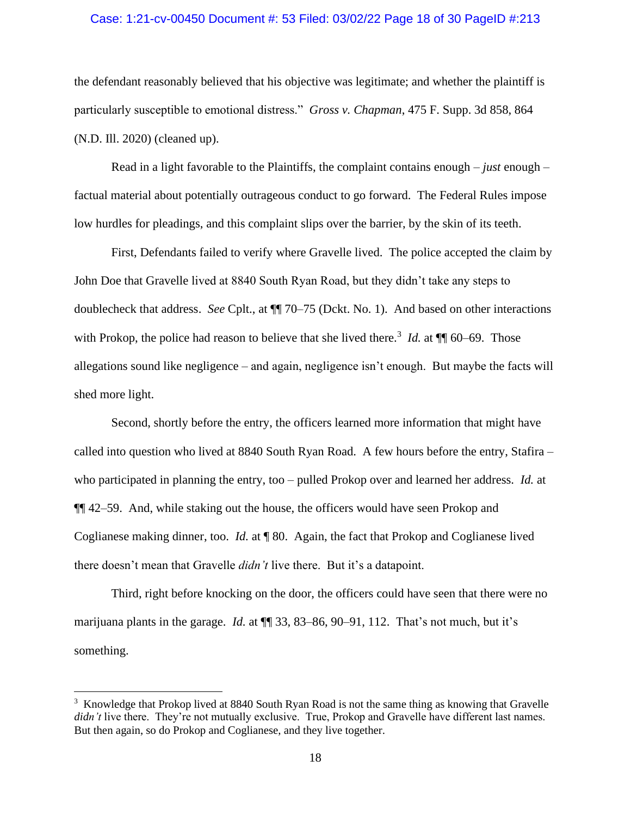### Case: 1:21-cv-00450 Document #: 53 Filed: 03/02/22 Page 18 of 30 PageID #:213

the defendant reasonably believed that his objective was legitimate; and whether the plaintiff is particularly susceptible to emotional distress." *Gross v. Chapman*, 475 F. Supp. 3d 858, 864 (N.D. Ill. 2020) (cleaned up).

Read in a light favorable to the Plaintiffs, the complaint contains enough – *just* enough – factual material about potentially outrageous conduct to go forward. The Federal Rules impose low hurdles for pleadings, and this complaint slips over the barrier, by the skin of its teeth.

First, Defendants failed to verify where Gravelle lived. The police accepted the claim by John Doe that Gravelle lived at 8840 South Ryan Road, but they didn't take any steps to doublecheck that address. *See* Cplt., at ¶¶ 70–75 (Dckt. No. 1). And based on other interactions with Prokop, the police had reason to believe that she lived there.<sup>3</sup> *Id.* at  $\P$  60–69. Those allegations sound like negligence – and again, negligence isn't enough. But maybe the facts will shed more light.

Second, shortly before the entry, the officers learned more information that might have called into question who lived at 8840 South Ryan Road. A few hours before the entry, Stafira – who participated in planning the entry, too – pulled Prokop over and learned her address. *Id.* at ¶¶ 42–59. And, while staking out the house, the officers would have seen Prokop and Coglianese making dinner, too. *Id.* at ¶ 80. Again, the fact that Prokop and Coglianese lived there doesn't mean that Gravelle *didn't* live there. But it's a datapoint.

Third, right before knocking on the door, the officers could have seen that there were no marijuana plants in the garage. *Id.* at ¶¶ 33, 83–86, 90–91, 112. That's not much, but it's something.

<sup>&</sup>lt;sup>3</sup> Knowledge that Prokop lived at 8840 South Ryan Road is not the same thing as knowing that Gravelle *didn't* live there. They're not mutually exclusive. True, Prokop and Gravelle have different last names. But then again, so do Prokop and Coglianese, and they live together.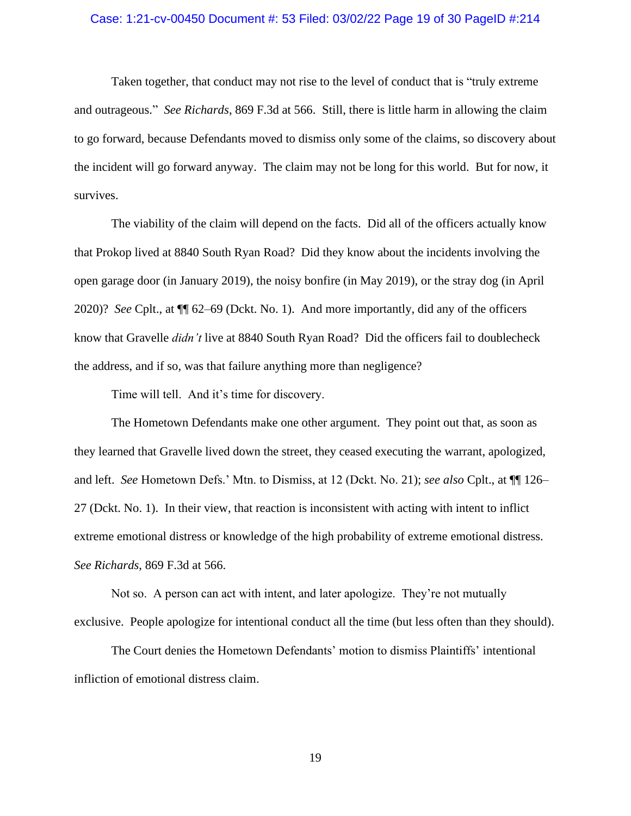# Case: 1:21-cv-00450 Document #: 53 Filed: 03/02/22 Page 19 of 30 PageID #:214

Taken together, that conduct may not rise to the level of conduct that is "truly extreme and outrageous." *See Richards*, 869 F.3d at 566. Still, there is little harm in allowing the claim to go forward, because Defendants moved to dismiss only some of the claims, so discovery about the incident will go forward anyway. The claim may not be long for this world. But for now, it survives.

The viability of the claim will depend on the facts. Did all of the officers actually know that Prokop lived at 8840 South Ryan Road? Did they know about the incidents involving the open garage door (in January 2019), the noisy bonfire (in May 2019), or the stray dog (in April 2020)? *See* Cplt., at ¶¶ 62–69 (Dckt. No. 1). And more importantly, did any of the officers know that Gravelle *didn't* live at 8840 South Ryan Road? Did the officers fail to doublecheck the address, and if so, was that failure anything more than negligence?

Time will tell. And it's time for discovery.

The Hometown Defendants make one other argument. They point out that, as soon as they learned that Gravelle lived down the street, they ceased executing the warrant, apologized, and left. *See* Hometown Defs.' Mtn. to Dismiss, at 12 (Dckt. No. 21); *see also* Cplt., at ¶¶ 126– 27 (Dckt. No. 1). In their view, that reaction is inconsistent with acting with intent to inflict extreme emotional distress or knowledge of the high probability of extreme emotional distress. *See Richards*, 869 F.3d at 566.

Not so. A person can act with intent, and later apologize. They're not mutually exclusive. People apologize for intentional conduct all the time (but less often than they should).

The Court denies the Hometown Defendants' motion to dismiss Plaintiffs' intentional infliction of emotional distress claim.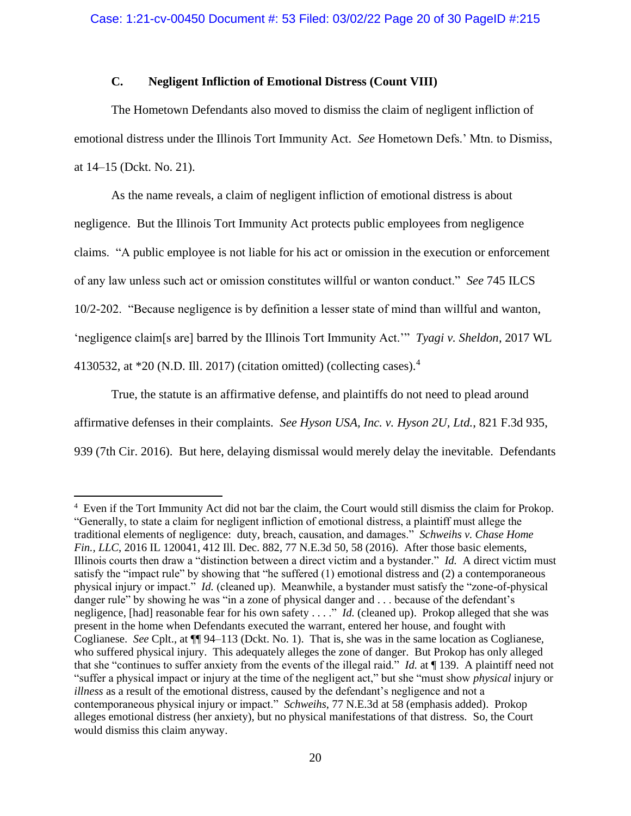# **C. Negligent Infliction of Emotional Distress (Count VIII)**

The Hometown Defendants also moved to dismiss the claim of negligent infliction of emotional distress under the Illinois Tort Immunity Act. *See* Hometown Defs.' Mtn. to Dismiss, at 14–15 (Dckt. No. 21).

As the name reveals, a claim of negligent infliction of emotional distress is about negligence. But the Illinois Tort Immunity Act protects public employees from negligence claims. "A public employee is not liable for his act or omission in the execution or enforcement of any law unless such act or omission constitutes willful or wanton conduct." *See* 745 ILCS 10/2-202. "Because negligence is by definition a lesser state of mind than willful and wanton, 'negligence claim[s are] barred by the Illinois Tort Immunity Act.'" *Tyagi v. Sheldon*, 2017 WL 4130532, at  $*20$  (N.D. Ill. 2017) (citation omitted) (collecting cases).<sup>4</sup>

True, the statute is an affirmative defense, and plaintiffs do not need to plead around affirmative defenses in their complaints. *See Hyson USA, Inc. v. Hyson 2U, Ltd.*, 821 F.3d 935, 939 (7th Cir. 2016). But here, delaying dismissal would merely delay the inevitable. Defendants

<sup>&</sup>lt;sup>4</sup> Even if the Tort Immunity Act did not bar the claim, the Court would still dismiss the claim for Prokop. "Generally, to state a claim for negligent infliction of emotional distress, a plaintiff must allege the traditional elements of negligence: duty, breach, causation, and damages." *Schweihs v. Chase Home Fin., LLC*, 2016 IL 120041, 412 Ill. Dec. 882, 77 N.E.3d 50, 58 (2016). After those basic elements, Illinois courts then draw a "distinction between a direct victim and a bystander." *Id.* A direct victim must satisfy the "impact rule" by showing that "he suffered (1) emotional distress and (2) a contemporaneous physical injury or impact." *Id.* (cleaned up). Meanwhile, a bystander must satisfy the "zone-of-physical danger rule" by showing he was "in a zone of physical danger and . . . because of the defendant's negligence, [had] reasonable fear for his own safety . . . ." *Id.* (cleaned up). Prokop alleged that she was present in the home when Defendants executed the warrant, entered her house, and fought with Coglianese. *See* Cplt., at ¶¶ 94–113 (Dckt. No. 1). That is, she was in the same location as Coglianese, who suffered physical injury. This adequately alleges the zone of danger. But Prokop has only alleged that she "continues to suffer anxiety from the events of the illegal raid." *Id.* at ¶ 139. A plaintiff need not "suffer a physical impact or injury at the time of the negligent act," but she "must show *physical* injury or *illness* as a result of the emotional distress, caused by the defendant's negligence and not a contemporaneous physical injury or impact." *Schweihs*, 77 N.E.3d at 58 (emphasis added). Prokop alleges emotional distress (her anxiety), but no physical manifestations of that distress. So, the Court would dismiss this claim anyway.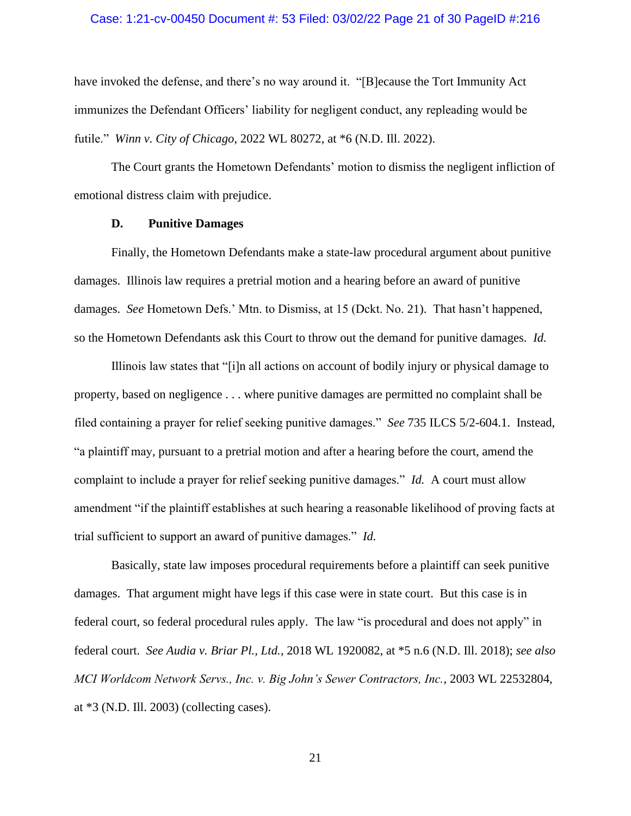### Case: 1:21-cv-00450 Document #: 53 Filed: 03/02/22 Page 21 of 30 PageID #:216

have invoked the defense, and there's no way around it. "[B]ecause the Tort Immunity Act immunizes the Defendant Officers' liability for negligent conduct, any repleading would be futile." *Winn v. City of Chicago*, 2022 WL 80272, at \*6 (N.D. Ill. 2022).

The Court grants the Hometown Defendants' motion to dismiss the negligent infliction of emotional distress claim with prejudice.

### **D. Punitive Damages**

Finally, the Hometown Defendants make a state-law procedural argument about punitive damages. Illinois law requires a pretrial motion and a hearing before an award of punitive damages. *See* Hometown Defs.' Mtn. to Dismiss, at 15 (Dckt. No. 21). That hasn't happened, so the Hometown Defendants ask this Court to throw out the demand for punitive damages. *Id.*

Illinois law states that "[i]n all actions on account of bodily injury or physical damage to property, based on negligence . . . where punitive damages are permitted no complaint shall be filed containing a prayer for relief seeking punitive damages." *See* 735 ILCS 5/2-604.1. Instead, "a plaintiff may, pursuant to a pretrial motion and after a hearing before the court, amend the complaint to include a prayer for relief seeking punitive damages." *Id.* A court must allow amendment "if the plaintiff establishes at such hearing a reasonable likelihood of proving facts at trial sufficient to support an award of punitive damages." *Id.*

Basically, state law imposes procedural requirements before a plaintiff can seek punitive damages. That argument might have legs if this case were in state court. But this case is in federal court, so federal procedural rules apply. The law "is procedural and does not apply" in federal court. *See Audia v. Briar Pl., Ltd.*, 2018 WL 1920082, at \*5 n.6 (N.D. Ill. 2018); *see also MCI Worldcom Network Servs., Inc. v. Big John's Sewer Contractors, Inc.*, 2003 WL 22532804, at \*3 (N.D. Ill. 2003) (collecting cases).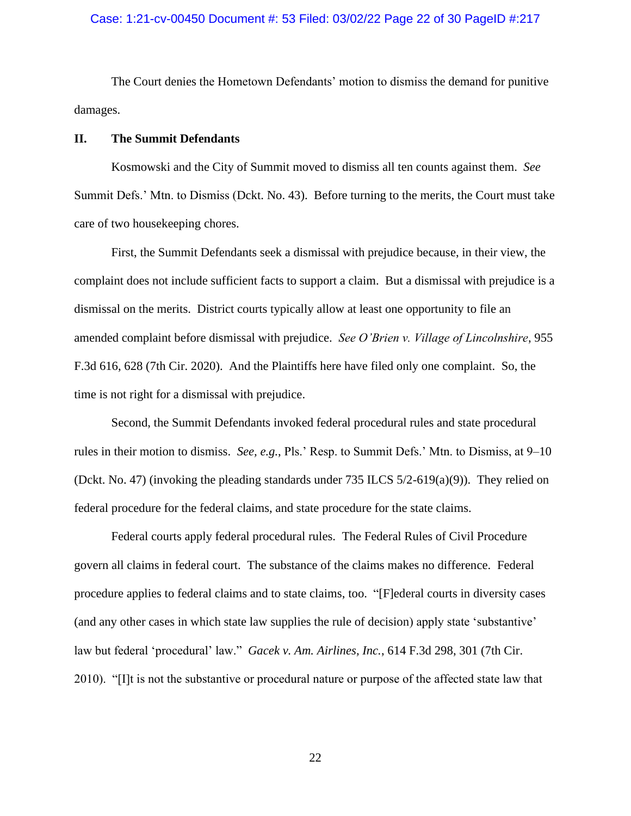## Case: 1:21-cv-00450 Document #: 53 Filed: 03/02/22 Page 22 of 30 PageID #:217

The Court denies the Hometown Defendants' motion to dismiss the demand for punitive damages.

#### **II. The Summit Defendants**

Kosmowski and the City of Summit moved to dismiss all ten counts against them. *See* Summit Defs.' Mtn. to Dismiss (Dckt. No. 43). Before turning to the merits, the Court must take care of two housekeeping chores.

First, the Summit Defendants seek a dismissal with prejudice because, in their view, the complaint does not include sufficient facts to support a claim. But a dismissal with prejudice is a dismissal on the merits. District courts typically allow at least one opportunity to file an amended complaint before dismissal with prejudice. *See O'Brien v. Village of Lincolnshire*, 955 F.3d 616, 628 (7th Cir. 2020). And the Plaintiffs here have filed only one complaint. So, the time is not right for a dismissal with prejudice.

Second, the Summit Defendants invoked federal procedural rules and state procedural rules in their motion to dismiss. *See, e.g.*, Pls.' Resp. to Summit Defs.' Mtn. to Dismiss, at 9–10 (Dckt. No. 47) (invoking the pleading standards under 735 ILCS 5/2-619(a)(9)). They relied on federal procedure for the federal claims, and state procedure for the state claims.

Federal courts apply federal procedural rules. The Federal Rules of Civil Procedure govern all claims in federal court. The substance of the claims makes no difference. Federal procedure applies to federal claims and to state claims, too. "[F]ederal courts in diversity cases (and any other cases in which state law supplies the rule of decision) apply state 'substantive' law but federal 'procedural' law." *Gacek v. Am. Airlines, Inc.*, 614 F.3d 298, 301 (7th Cir. 2010). "[I]t is not the substantive or procedural nature or purpose of the affected state law that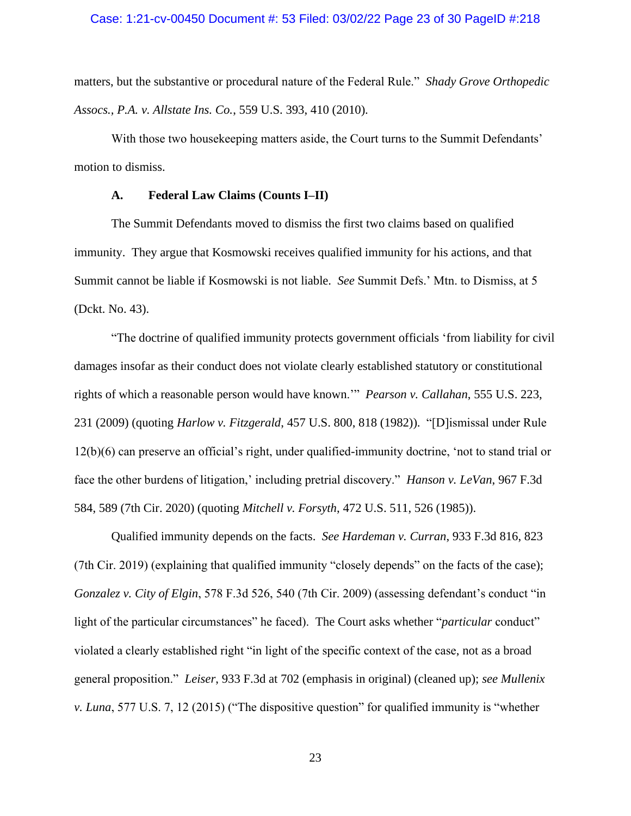### Case: 1:21-cv-00450 Document #: 53 Filed: 03/02/22 Page 23 of 30 PageID #:218

matters, but the substantive or procedural nature of the Federal Rule." *Shady Grove Orthopedic Assocs., P.A. v. Allstate Ins. Co.*, 559 U.S. 393, 410 (2010).

With those two housekeeping matters aside, the Court turns to the Summit Defendants' motion to dismiss.

## **A. Federal Law Claims (Counts I–II)**

The Summit Defendants moved to dismiss the first two claims based on qualified immunity. They argue that Kosmowski receives qualified immunity for his actions, and that Summit cannot be liable if Kosmowski is not liable. *See* Summit Defs.' Mtn. to Dismiss, at 5 (Dckt. No. 43).

"The doctrine of qualified immunity protects government officials 'from liability for civil damages insofar as their conduct does not violate clearly established statutory or constitutional rights of which a reasonable person would have known.'" *Pearson v. Callahan*, 555 U.S. 223, 231 (2009) (quoting *Harlow v. Fitzgerald*, 457 U.S. 800, 818 (1982)). "[D]ismissal under Rule 12(b)(6) can preserve an official's right, under qualified-immunity doctrine, 'not to stand trial or face the other burdens of litigation,' including pretrial discovery." *Hanson v. LeVan*, 967 F.3d 584, 589 (7th Cir. 2020) (quoting *Mitchell v. Forsyth*, 472 U.S. 511, 526 (1985)).

Qualified immunity depends on the facts. *See Hardeman v. Curran*, 933 F.3d 816, 823 (7th Cir. 2019) (explaining that qualified immunity "closely depends" on the facts of the case); *Gonzalez v. City of Elgin*, 578 F.3d 526, 540 (7th Cir. 2009) (assessing defendant's conduct "in light of the particular circumstances" he faced). The Court asks whether "*particular* conduct" violated a clearly established right "in light of the specific context of the case, not as a broad general proposition." *Leiser*, 933 F.3d at 702 (emphasis in original) (cleaned up); *see Mullenix v. Luna*, 577 U.S. 7, 12 (2015) ("The dispositive question" for qualified immunity is "whether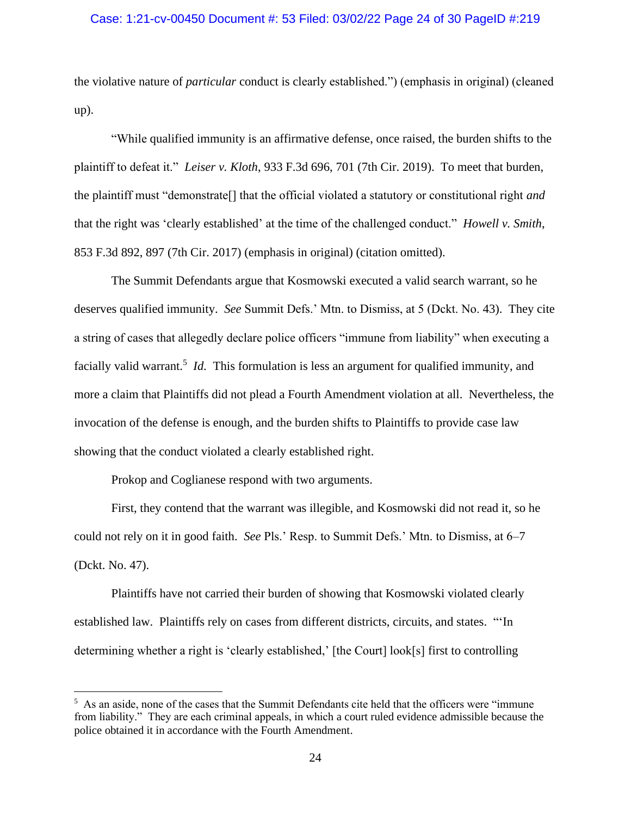## Case: 1:21-cv-00450 Document #: 53 Filed: 03/02/22 Page 24 of 30 PageID #:219

the violative nature of *particular* conduct is clearly established.") (emphasis in original) (cleaned up).

"While qualified immunity is an affirmative defense, once raised, the burden shifts to the plaintiff to defeat it." *Leiser v. Kloth*, 933 F.3d 696, 701 (7th Cir. 2019). To meet that burden, the plaintiff must "demonstrate[] that the official violated a statutory or constitutional right *and* that the right was 'clearly established' at the time of the challenged conduct." *Howell v. Smith*, 853 F.3d 892, 897 (7th Cir. 2017) (emphasis in original) (citation omitted).

The Summit Defendants argue that Kosmowski executed a valid search warrant, so he deserves qualified immunity. *See* Summit Defs.' Mtn. to Dismiss, at 5 (Dckt. No. 43). They cite a string of cases that allegedly declare police officers "immune from liability" when executing a facially valid warrant.<sup>5</sup> *Id*. This formulation is less an argument for qualified immunity, and more a claim that Plaintiffs did not plead a Fourth Amendment violation at all. Nevertheless, the invocation of the defense is enough, and the burden shifts to Plaintiffs to provide case law showing that the conduct violated a clearly established right.

Prokop and Coglianese respond with two arguments.

First, they contend that the warrant was illegible, and Kosmowski did not read it, so he could not rely on it in good faith. *See* Pls.' Resp. to Summit Defs.' Mtn. to Dismiss, at 6–7 (Dckt. No. 47).

Plaintiffs have not carried their burden of showing that Kosmowski violated clearly established law. Plaintiffs rely on cases from different districts, circuits, and states. "'In determining whether a right is 'clearly established,' [the Court] look[s] first to controlling

<sup>&</sup>lt;sup>5</sup> As an aside, none of the cases that the Summit Defendants cite held that the officers were "immune" from liability." They are each criminal appeals, in which a court ruled evidence admissible because the police obtained it in accordance with the Fourth Amendment.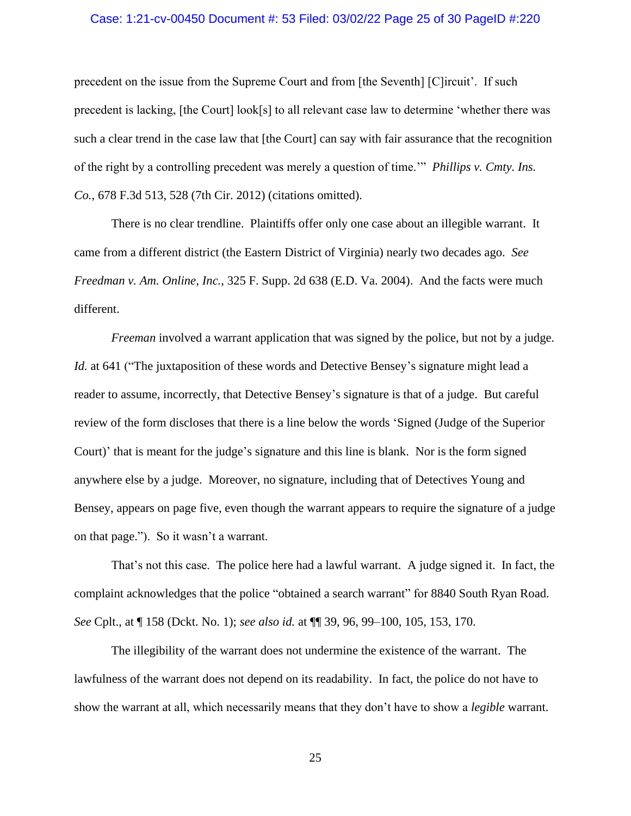#### Case: 1:21-cv-00450 Document #: 53 Filed: 03/02/22 Page 25 of 30 PageID #:220

precedent on the issue from the Supreme Court and from [the Seventh] [C]ircuit'. If such precedent is lacking, [the Court] look[s] to all relevant case law to determine 'whether there was such a clear trend in the case law that [the Court] can say with fair assurance that the recognition of the right by a controlling precedent was merely a question of time.'" *Phillips v. Cmty. Ins. Co.*, 678 F.3d 513, 528 (7th Cir. 2012) (citations omitted).

There is no clear trendline. Plaintiffs offer only one case about an illegible warrant. It came from a different district (the Eastern District of Virginia) nearly two decades ago. *See Freedman v. Am. Online, Inc.*, 325 F. Supp. 2d 638 (E.D. Va. 2004). And the facts were much different.

*Freeman* involved a warrant application that was signed by the police, but not by a judge. *Id.* at 641 ("The juxtaposition of these words and Detective Bensey's signature might lead a reader to assume, incorrectly, that Detective Bensey's signature is that of a judge. But careful review of the form discloses that there is a line below the words 'Signed (Judge of the Superior Court)' that is meant for the judge's signature and this line is blank. Nor is the form signed anywhere else by a judge. Moreover, no signature, including that of Detectives Young and Bensey, appears on page five, even though the warrant appears to require the signature of a judge on that page."). So it wasn't a warrant.

That's not this case. The police here had a lawful warrant. A judge signed it. In fact, the complaint acknowledges that the police "obtained a search warrant" for 8840 South Ryan Road. *See* Cplt., at ¶ 158 (Dckt. No. 1); *see also id.* at ¶¶ 39, 96, 99–100, 105, 153, 170.

The illegibility of the warrant does not undermine the existence of the warrant. The lawfulness of the warrant does not depend on its readability. In fact, the police do not have to show the warrant at all, which necessarily means that they don't have to show a *legible* warrant.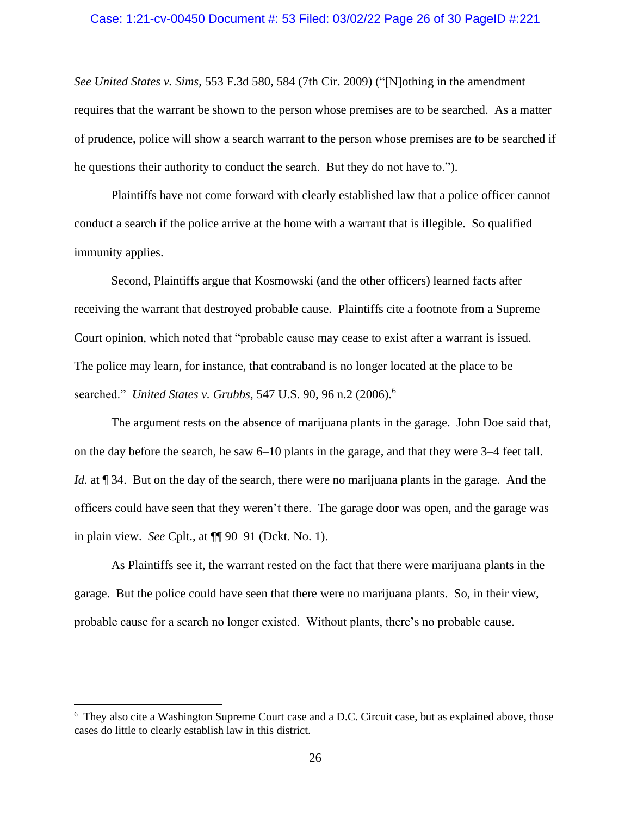#### Case: 1:21-cv-00450 Document #: 53 Filed: 03/02/22 Page 26 of 30 PageID #:221

*See United States v. Sims*, 553 F.3d 580, 584 (7th Cir. 2009) ("[N]othing in the amendment requires that the warrant be shown to the person whose premises are to be searched. As a matter of prudence, police will show a search warrant to the person whose premises are to be searched if he questions their authority to conduct the search. But they do not have to.").

Plaintiffs have not come forward with clearly established law that a police officer cannot conduct a search if the police arrive at the home with a warrant that is illegible. So qualified immunity applies.

Second, Plaintiffs argue that Kosmowski (and the other officers) learned facts after receiving the warrant that destroyed probable cause. Plaintiffs cite a footnote from a Supreme Court opinion, which noted that "probable cause may cease to exist after a warrant is issued. The police may learn, for instance, that contraband is no longer located at the place to be searched." *United States v. Grubbs*, 547 U.S. 90, 96 n.2 (2006).<sup>6</sup>

The argument rests on the absence of marijuana plants in the garage. John Doe said that, on the day before the search, he saw 6–10 plants in the garage, and that they were 3–4 feet tall. *Id.* at  $\mathbb{I}$  34. But on the day of the search, there were no marijuana plants in the garage. And the officers could have seen that they weren't there. The garage door was open, and the garage was in plain view. *See* Cplt., at ¶¶ 90–91 (Dckt. No. 1).

As Plaintiffs see it, the warrant rested on the fact that there were marijuana plants in the garage. But the police could have seen that there were no marijuana plants. So, in their view, probable cause for a search no longer existed. Without plants, there's no probable cause.

<sup>&</sup>lt;sup>6</sup> They also cite a Washington Supreme Court case and a D.C. Circuit case, but as explained above, those cases do little to clearly establish law in this district.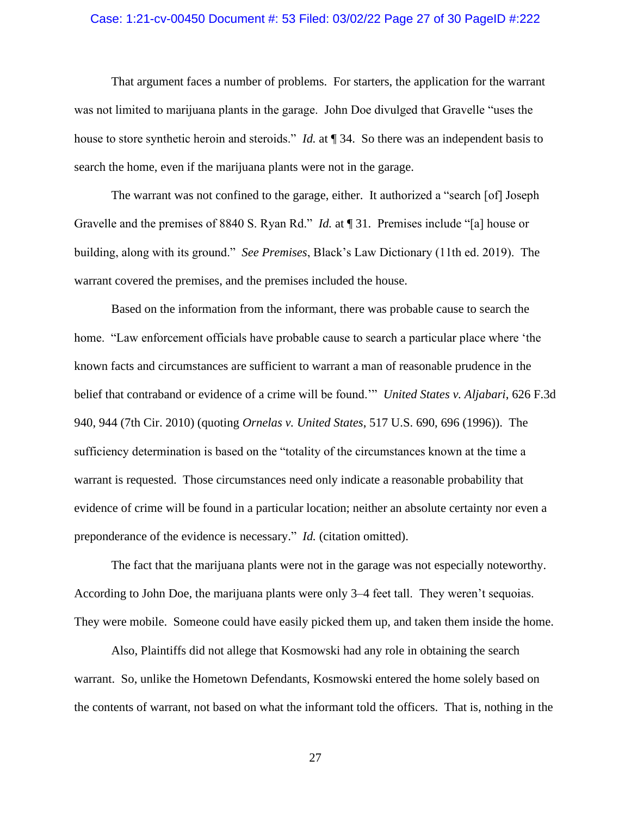### Case: 1:21-cv-00450 Document #: 53 Filed: 03/02/22 Page 27 of 30 PageID #:222

That argument faces a number of problems. For starters, the application for the warrant was not limited to marijuana plants in the garage. John Doe divulged that Gravelle "uses the house to store synthetic heroin and steroids." *Id.* at ¶ 34. So there was an independent basis to search the home, even if the marijuana plants were not in the garage.

The warrant was not confined to the garage, either. It authorized a "search [of] Joseph Gravelle and the premises of 8840 S. Ryan Rd." *Id.* at ¶ 31. Premises include "[a] house or building, along with its ground." *See Premises*, Black's Law Dictionary (11th ed. 2019). The warrant covered the premises, and the premises included the house.

Based on the information from the informant, there was probable cause to search the home. "Law enforcement officials have probable cause to search a particular place where 'the known facts and circumstances are sufficient to warrant a man of reasonable prudence in the belief that contraband or evidence of a crime will be found.'" *United States v. Aljabari*, 626 F.3d 940, 944 (7th Cir. 2010) (quoting *Ornelas v. United States*, 517 U.S. 690, 696 (1996)). The sufficiency determination is based on the "totality of the circumstances known at the time a warrant is requested. Those circumstances need only indicate a reasonable probability that evidence of crime will be found in a particular location; neither an absolute certainty nor even a preponderance of the evidence is necessary." *Id.* (citation omitted).

The fact that the marijuana plants were not in the garage was not especially noteworthy. According to John Doe, the marijuana plants were only 3–4 feet tall. They weren't sequoias. They were mobile. Someone could have easily picked them up, and taken them inside the home.

Also, Plaintiffs did not allege that Kosmowski had any role in obtaining the search warrant. So, unlike the Hometown Defendants, Kosmowski entered the home solely based on the contents of warrant, not based on what the informant told the officers. That is, nothing in the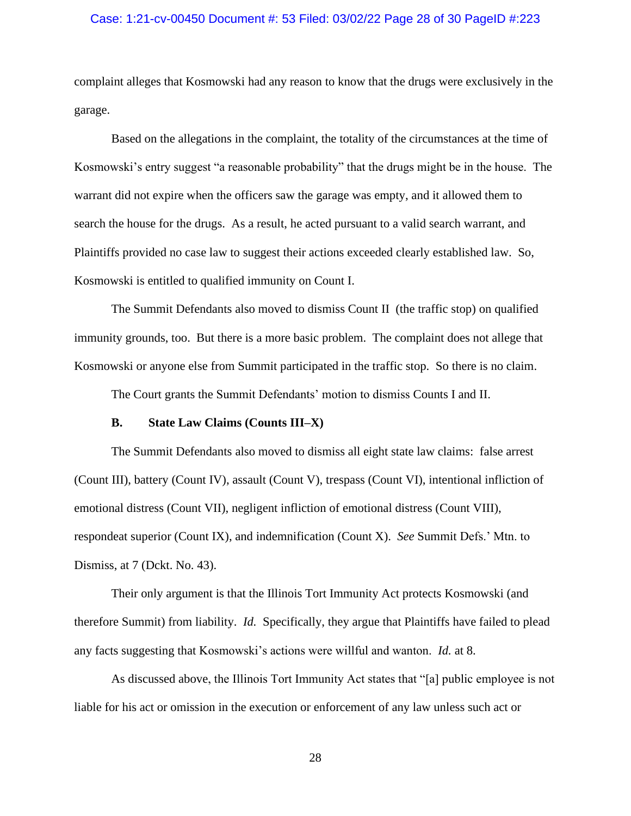### Case: 1:21-cv-00450 Document #: 53 Filed: 03/02/22 Page 28 of 30 PageID #:223

complaint alleges that Kosmowski had any reason to know that the drugs were exclusively in the garage.

Based on the allegations in the complaint, the totality of the circumstances at the time of Kosmowski's entry suggest "a reasonable probability" that the drugs might be in the house. The warrant did not expire when the officers saw the garage was empty, and it allowed them to search the house for the drugs. As a result, he acted pursuant to a valid search warrant, and Plaintiffs provided no case law to suggest their actions exceeded clearly established law. So, Kosmowski is entitled to qualified immunity on Count I.

The Summit Defendants also moved to dismiss Count II (the traffic stop) on qualified immunity grounds, too. But there is a more basic problem. The complaint does not allege that Kosmowski or anyone else from Summit participated in the traffic stop. So there is no claim.

The Court grants the Summit Defendants' motion to dismiss Counts I and II.

## **B. State Law Claims (Counts III–X)**

The Summit Defendants also moved to dismiss all eight state law claims: false arrest (Count III), battery (Count IV), assault (Count V), trespass (Count VI), intentional infliction of emotional distress (Count VII), negligent infliction of emotional distress (Count VIII), respondeat superior (Count IX), and indemnification (Count X). *See* Summit Defs.' Mtn. to Dismiss, at 7 (Dckt. No. 43).

Their only argument is that the Illinois Tort Immunity Act protects Kosmowski (and therefore Summit) from liability. *Id.* Specifically, they argue that Plaintiffs have failed to plead any facts suggesting that Kosmowski's actions were willful and wanton. *Id.* at 8.

As discussed above, the Illinois Tort Immunity Act states that "[a] public employee is not liable for his act or omission in the execution or enforcement of any law unless such act or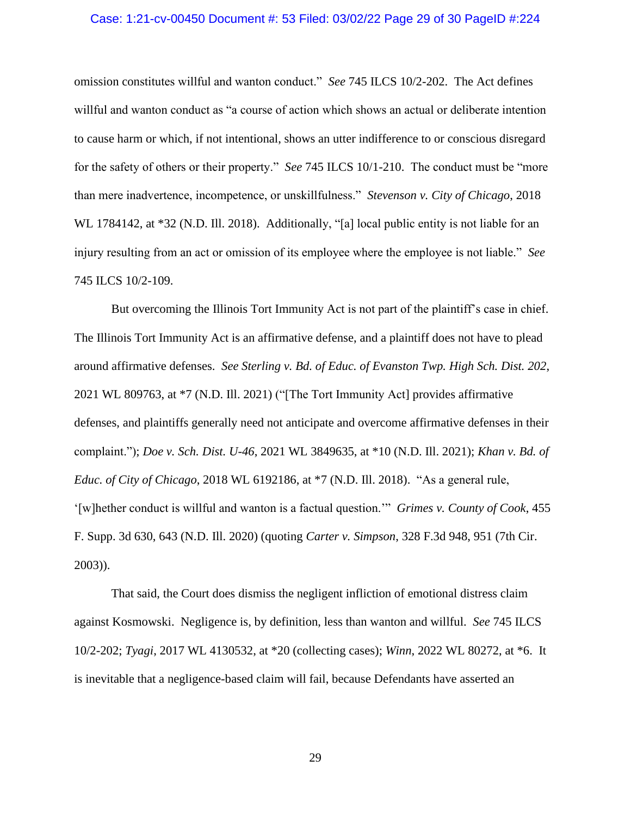### Case: 1:21-cv-00450 Document #: 53 Filed: 03/02/22 Page 29 of 30 PageID #:224

omission constitutes willful and wanton conduct." *See* 745 ILCS 10/2-202. The Act defines willful and wanton conduct as "a course of action which shows an actual or deliberate intention to cause harm or which, if not intentional, shows an utter indifference to or conscious disregard for the safety of others or their property." *See* 745 ILCS 10/1-210. The conduct must be "more than mere inadvertence, incompetence, or unskillfulness." *Stevenson v. City of Chicago*, 2018 WL 1784142, at \*32 (N.D. Ill. 2018). Additionally, "[a] local public entity is not liable for an injury resulting from an act or omission of its employee where the employee is not liable." *See*  745 ILCS 10/2-109.

But overcoming the Illinois Tort Immunity Act is not part of the plaintiff's case in chief. The Illinois Tort Immunity Act is an affirmative defense, and a plaintiff does not have to plead around affirmative defenses. *See Sterling v. Bd. of Educ. of Evanston Twp. High Sch. Dist. 202*, 2021 WL 809763, at \*7 (N.D. Ill. 2021) ("[The Tort Immunity Act] provides affirmative defenses, and plaintiffs generally need not anticipate and overcome affirmative defenses in their complaint."); *Doe v. Sch. Dist. U-46*, 2021 WL 3849635, at \*10 (N.D. Ill. 2021); *Khan v. Bd. of Educ. of City of Chicago*, 2018 WL 6192186, at \*7 (N.D. Ill. 2018). "As a general rule, '[w]hether conduct is willful and wanton is a factual question.'" *Grimes v. County of Cook*, 455 F. Supp. 3d 630, 643 (N.D. Ill. 2020) (quoting *Carter v. Simpson*, 328 F.3d 948, 951 (7th Cir. 2003)).

That said, the Court does dismiss the negligent infliction of emotional distress claim against Kosmowski. Negligence is, by definition, less than wanton and willful. *See* 745 ILCS 10/2-202; *Tyagi*, 2017 WL 4130532, at \*20 (collecting cases); *Winn*, 2022 WL 80272, at \*6. It is inevitable that a negligence-based claim will fail, because Defendants have asserted an